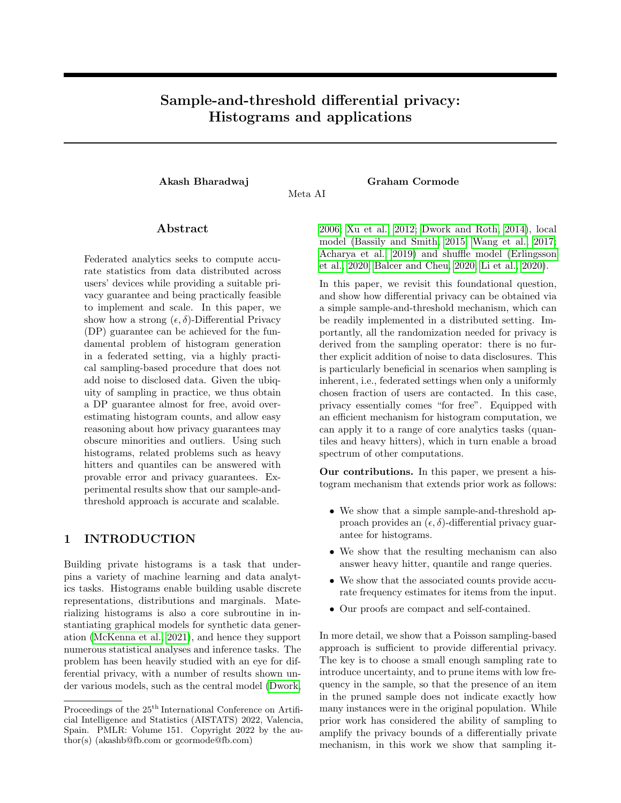# Sample-and-threshold differential privacy: Histograms and applications

Meta AI

### Akash Bharadwaj Graham Cormode

### Abstract

Federated analytics seeks to compute accurate statistics from data distributed across users' devices while providing a suitable privacy guarantee and being practically feasible to implement and scale. In this paper, we show how a strong  $(\epsilon, \delta)$ -Differential Privacy (DP) guarantee can be achieved for the fundamental problem of histogram generation in a federated setting, via a highly practical sampling-based procedure that does not add noise to disclosed data. Given the ubiquity of sampling in practice, we thus obtain a DP guarantee almost for free, avoid overestimating histogram counts, and allow easy reasoning about how privacy guarantees may obscure minorities and outliers. Using such histograms, related problems such as heavy hitters and quantiles can be answered with provable error and privacy guarantees. Experimental results show that our sample-andthreshold approach is accurate and scalable.

## 1 INTRODUCTION

Building private histograms is a task that underpins a variety of machine learning and data analytics tasks. Histograms enable building usable discrete representations, distributions and marginals. Materializing histograms is also a core subroutine in instantiating graphical models for synthetic data generation [\(McKenna et al., 2021\)](#page-9-0), and hence they support numerous statistical analyses and inference tasks. The problem has been heavily studied with an eye for differential privacy, with a number of results shown under various models, such as the central model [\(Dwork,](#page-9-1) [2006;](#page-9-1) [Xu et al., 2012;](#page-10-0) [Dwork and Roth, 2014\)](#page-9-2), local model [\(Bassily and Smith, 2015;](#page-9-3) [Wang et al., 2017;](#page-10-1) [Acharya et al., 2019\)](#page-9-4) and shuffle model [\(Erlingsson](#page-9-5) [et al., 2020;](#page-9-5) [Balcer and Cheu, 2020;](#page-9-6) [Li et al., 2020\)](#page-9-7).

In this paper, we revisit this foundational question, and show how differential privacy can be obtained via a simple sample-and-threshold mechanism, which can be readily implemented in a distributed setting. Importantly, all the randomization needed for privacy is derived from the sampling operator: there is no further explicit addition of noise to data disclosures. This is particularly beneficial in scenarios when sampling is inherent, i.e., federated settings when only a uniformly chosen fraction of users are contacted. In this case, privacy essentially comes "for free". Equipped with an efficient mechanism for histogram computation, we can apply it to a range of core analytics tasks (quantiles and heavy hitters), which in turn enable a broad spectrum of other computations.

Our contributions. In this paper, we present a histogram mechanism that extends prior work as follows:

- We show that a simple sample-and-threshold approach provides an  $(\epsilon, \delta)$ -differential privacy guarantee for histograms.
- We show that the resulting mechanism can also answer heavy hitter, quantile and range queries.
- We show that the associated counts provide accurate frequency estimates for items from the input.
- Our proofs are compact and self-contained.

In more detail, we show that a Poisson sampling-based approach is sufficient to provide differential privacy. The key is to choose a small enough sampling rate to introduce uncertainty, and to prune items with low frequency in the sample, so that the presence of an item in the pruned sample does not indicate exactly how many instances were in the original population. While prior work has considered the ability of sampling to amplify the privacy bounds of a differentially private mechanism, in this work we show that sampling it-

Proceedings of the  $25<sup>th</sup>$  International Conference on Artificial Intelligence and Statistics (AISTATS) 2022, Valencia, Spain. PMLR: Volume 151. Copyright 2022 by the author(s) (akashb@fb.com or gcormode@fb.com)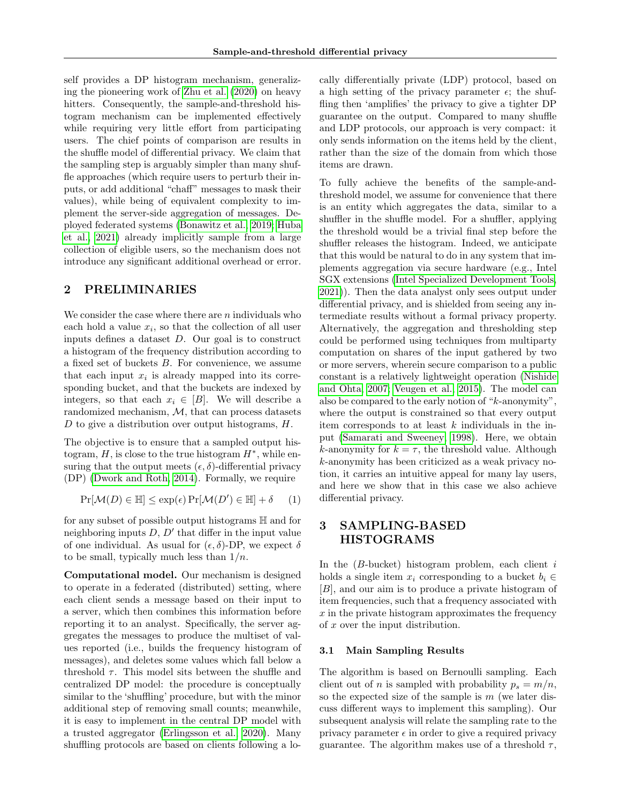self provides a DP histogram mechanism, generalizing the pioneering work of [Zhu et al. \(2020\)](#page-10-2) on heavy hitters. Consequently, the sample-and-threshold histogram mechanism can be implemented effectively while requiring very little effort from participating users. The chief points of comparison are results in the shuffle model of differential privacy. We claim that the sampling step is arguably simpler than many shuffle approaches (which require users to perturb their inputs, or add additional "chaff" messages to mask their values), while being of equivalent complexity to implement the server-side aggregation of messages. Deployed federated systems [\(Bonawitz et al., 2019;](#page-9-8) [Huba](#page-9-9) [et al., 2021\)](#page-9-9) already implicitly sample from a large collection of eligible users, so the mechanism does not introduce any significant additional overhead or error.

## 2 PRELIMINARIES

We consider the case where there are  $n$  individuals who each hold a value  $x_i$ , so that the collection of all user inputs defines a dataset  $D$ . Our goal is to construct a histogram of the frequency distribution according to a fixed set of buckets B. For convenience, we assume that each input  $x_i$  is already mapped into its corresponding bucket, and that the buckets are indexed by integers, so that each  $x_i \in [B]$ . We will describe a randomized mechanism,  $M$ , that can process datasets  $D$  to give a distribution over output histograms,  $H$ .

The objective is to ensure that a sampled output histogram,  $H$ , is close to the true histogram  $H^*$ , while ensuring that the output meets  $(\epsilon, \delta)$ -differential privacy (DP) [\(Dwork and Roth, 2014\)](#page-9-2). Formally, we require

$$
\Pr[\mathcal{M}(D) \in \mathbb{H}] \le \exp(\epsilon) \Pr[\mathcal{M}(D') \in \mathbb{H}] + \delta \qquad (1)
$$

for any subset of possible output histograms H and for neighboring inputs  $D, D'$  that differ in the input value of one individual. As usual for  $(\epsilon, \delta)$ -DP, we expect  $\delta$ to be small, typically much less than  $1/n$ .

Computational model. Our mechanism is designed to operate in a federated (distributed) setting, where each client sends a message based on their input to a server, which then combines this information before reporting it to an analyst. Specifically, the server aggregates the messages to produce the multiset of values reported (i.e., builds the frequency histogram of messages), and deletes some values which fall below a threshold  $\tau$ . This model sits between the shuffle and centralized DP model: the procedure is conceptually similar to the 'shuffling' procedure, but with the minor additional step of removing small counts; meanwhile, it is easy to implement in the central DP model with a trusted aggregator [\(Erlingsson et al., 2020\)](#page-9-5). Many shuffling protocols are based on clients following a locally differentially private (LDP) protocol, based on a high setting of the privacy parameter  $\epsilon$ ; the shuffling then 'amplifies' the privacy to give a tighter DP guarantee on the output. Compared to many shuffle and LDP protocols, our approach is very compact: it only sends information on the items held by the client, rather than the size of the domain from which those items are drawn.

To fully achieve the benefits of the sample-andthreshold model, we assume for convenience that there is an entity which aggregates the data, similar to a shuffler in the shuffle model. For a shuffler, applying the threshold would be a trivial final step before the shuffler releases the histogram. Indeed, we anticipate that this would be natural to do in any system that implements aggregation via secure hardware (e.g., Intel SGX extensions [\(Intel Specialized Development Tools,](#page-9-10) [2021\)](#page-9-10)). Then the data analyst only sees output under differential privacy, and is shielded from seeing any intermediate results without a formal privacy property. Alternatively, the aggregation and thresholding step could be performed using techniques from multiparty computation on shares of the input gathered by two or more servers, wherein secure comparison to a public constant is a relatively lightweight operation [\(Nishide](#page-10-3) [and Ohta, 2007;](#page-10-3) [Veugen et al., 2015\)](#page-10-4). The model can also be compared to the early notion of "k-anonymity", where the output is constrained so that every output item corresponds to at least k individuals in the input [\(Samarati and Sweeney, 1998\)](#page-10-5). Here, we obtain k-anonymity for  $k = \tau$ , the threshold value. Although k-anonymity has been criticized as a weak privacy notion, it carries an intuitive appeal for many lay users, and here we show that in this case we also achieve differential privacy.

# 3 SAMPLING-BASED HISTOGRAMS

In the  $(B\text{-bucket})$  histogram problem, each client i holds a single item  $x_i$  corresponding to a bucket  $b_i \in$ [B], and our aim is to produce a private histogram of item frequencies, such that a frequency associated with  $x$  in the private histogram approximates the frequency of x over the input distribution.

### 3.1 Main Sampling Results

The algorithm is based on Bernoulli sampling. Each client out of n is sampled with probability  $p_s = m/n$ , so the expected size of the sample is  $m$  (we later discuss different ways to implement this sampling). Our subsequent analysis will relate the sampling rate to the privacy parameter  $\epsilon$  in order to give a required privacy guarantee. The algorithm makes use of a threshold  $\tau$ ,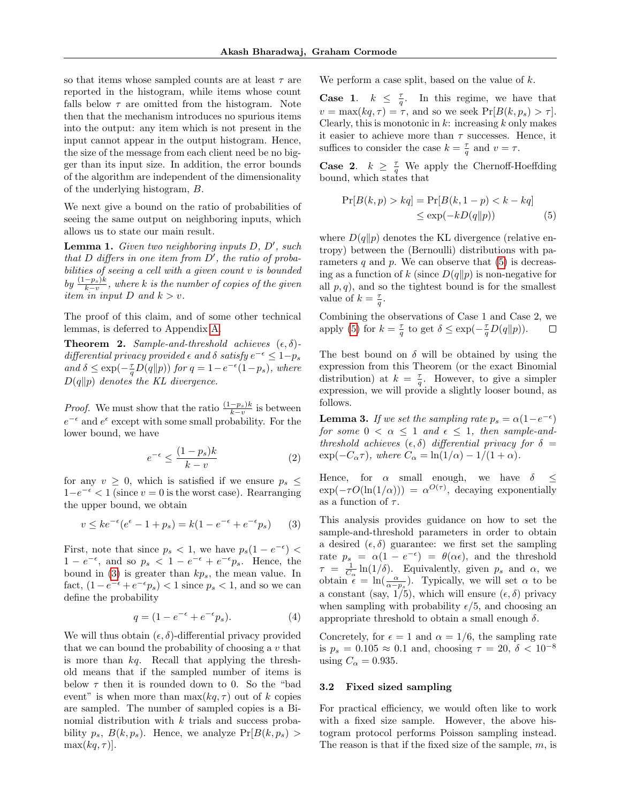so that items whose sampled counts are at least  $\tau$  are reported in the histogram, while items whose count falls below  $\tau$  are omitted from the histogram. Note then that the mechanism introduces no spurious items into the output: any item which is not present in the input cannot appear in the output histogram. Hence, the size of the message from each client need be no bigger than its input size. In addition, the error bounds of the algorithm are independent of the dimensionality of the underlying histogram, B.

We next give a bound on the ratio of probabilities of seeing the same output on neighboring inputs, which allows us to state our main result.

<span id="page-2-3"></span>**Lemma 1.** Given two neighboring inputs  $D, D'$ , such that  $D$  differs in one item from  $D'$ , the ratio of probabilities of seeing a cell with a given count v is bounded by  $\frac{(1-p_s)k}{k-v}$ , where k is the number of copies of the given item in input D and  $k > v$ .

The proof of this claim, and of some other technical lemmas, is deferred to Appendix [A.](#page-10-6)

<span id="page-2-2"></span>**Theorem 2.** Sample-and-threshold achieves  $(\epsilon, \delta)$ differential privacy provided  $\epsilon$  and  $\delta$  satisfy  $e^{-\epsilon} \leq 1-p_s$ and  $\delta \leq \exp(-\frac{\tau}{q}D(q||p))$  for  $q = 1 - e^{-\epsilon}(1-p_s)$ , where  $D(q||p)$  denotes the KL divergence.

*Proof.* We must show that the ratio  $\frac{(1-p_s)k}{k-v}$  is between  $e^{-\epsilon}$  and  $e^{\epsilon}$  except with some small probability. For the lower bound, we have

$$
e^{-\epsilon} \le \frac{(1-p_s)k}{k-v} \tag{2}
$$

for any  $v \geq 0$ , which is satisfied if we ensure  $p_s \leq$  $1-e^{-\epsilon} < 1$  (since  $v = 0$  is the worst case). Rearranging the upper bound, we obtain

<span id="page-2-0"></span>
$$
v \leq ke^{-\epsilon}(e^{\epsilon} - 1 + p_s) = k(1 - e^{-\epsilon} + e^{-\epsilon}p_s) \qquad (3)
$$

First, note that since  $p_s < 1$ , we have  $p_s(1 - e^{-\epsilon})$  $1 - e^{-\epsilon}$ , and so  $p_s < 1 - e^{-\epsilon} + e^{-\epsilon}p_s$ . Hence, the bound in [\(3\)](#page-2-0) is greater than  $kp_s$ , the mean value. In fact,  $(1 - e^{-\epsilon} + e^{-\epsilon}p_s) < 1$  since  $p_s < 1$ , and so we can define the probability

<span id="page-2-5"></span>
$$
q = (1 - e^{-\epsilon} + e^{-\epsilon} p_s). \tag{4}
$$

We will thus obtain  $(\epsilon, \delta)$ -differential privacy provided that we can bound the probability of choosing a  $v$  that is more than  $kq$ . Recall that applying the threshold means that if the sampled number of items is below  $\tau$  then it is rounded down to 0. So the "bad" event" is when more than  $\max(kq, \tau)$  out of k copies are sampled. The number of sampled copies is a Binomial distribution with  $k$  trials and success probability  $p_s$ ,  $B(k, p_s)$ . Hence, we analyze  $Pr[B(k, p_s) >$  $\max(kq, \tau)$ .

We perform a case split, based on the value of  $k$ .

**Case 1.**  $k \leq \frac{\tau}{q}$ . In this regime, we have that  $v = \max(kq, \tau) = \tau$ , and so we seek  $\Pr[B(k, p_s) > \tau]$ . Clearly, this is monotonic in  $k$ : increasing  $k$  only makes it easier to achieve more than  $\tau$  successes. Hence, it suffices to consider the case  $k = \frac{\tau}{q}$  and  $v = \tau$ .

**Case 2.**  $k \geq \frac{\tau}{q}$  We apply the Chernoff-Hoeffding bound, which states that

<span id="page-2-1"></span>
$$
\Pr[B(k, p) > kq] = \Pr[B(k, 1 - p) < k - kq] \\
\leq \exp(-kD(q||p)) \tag{5}
$$

where  $D(q||p)$  denotes the KL divergence (relative entropy) between the (Bernoulli) distributions with parameters  $q$  and  $p$ . We can observe that  $(5)$  is decreasing as a function of k (since  $D(q||p)$  is non-negative for all  $p, q$ , and so the tightest bound is for the smallest value of  $k = \frac{\tau}{q}$ .

Combining the observations of Case 1 and Case 2, we apply [\(5\)](#page-2-1) for  $k = \frac{\tau}{q}$  to get  $\delta \le \exp(-\frac{\tau}{q}D(q||p)).$  $\Box$ 

The best bound on  $\delta$  will be obtained by using the expression from this Theorem (or the exact Binomial distribution) at  $k = \frac{\tau}{q}$ . However, to give a simpler expression, we will provide a slightly looser bound, as follows.

<span id="page-2-4"></span>**Lemma 3.** If we set the sampling rate  $p_s = \alpha(1-e^{-\epsilon})$ for some  $0 < \alpha \leq 1$  and  $\epsilon \leq 1$ , then sample-andthreshold achieves  $(\epsilon, \delta)$  differential privacy for  $\delta =$  $\exp(-C_{\alpha}\tau)$ , where  $C_{\alpha} = \ln(1/\alpha) - 1/(1+\alpha)$ .

Hence, for  $\alpha$  small enough, we have  $\delta \leq$  $\exp(-\tau O(\ln(1/\alpha))) = \alpha^{O(\tau)}$ , decaying exponentially as a function of  $\tau$ .

This analysis provides guidance on how to set the sample-and-threshold parameters in order to obtain a desired  $(\epsilon, \delta)$  guarantee: we first set the sampling rate  $p_s = \alpha(1 - e^{-\epsilon}) = \theta(\alpha \epsilon)$ , and the threshold  $\tau = \frac{1}{C_{\alpha}} \ln(1/\delta)$ . Equivalently, given  $p_s$  and  $\alpha$ , we obtain  $\frac{\alpha}{\epsilon} = \ln(\frac{\alpha}{\alpha - p_s})$ . Typically, we will set  $\alpha$  to be a constant (say, 1/5), which will ensure  $(\epsilon, \delta)$  privacy when sampling with probability  $\epsilon/5$ , and choosing an appropriate threshold to obtain a small enough  $\delta$ .

Concretely, for  $\epsilon = 1$  and  $\alpha = 1/6$ , the sampling rate is  $p_s = 0.105 \approx 0.1$  and, choosing  $\tau = 20, \delta < 10^{-8}$ using  $C_{\alpha} = 0.935$ .

#### 3.2 Fixed sized sampling

For practical efficiency, we would often like to work with a fixed size sample. However, the above histogram protocol performs Poisson sampling instead. The reason is that if the fixed size of the sample,  $m$ , is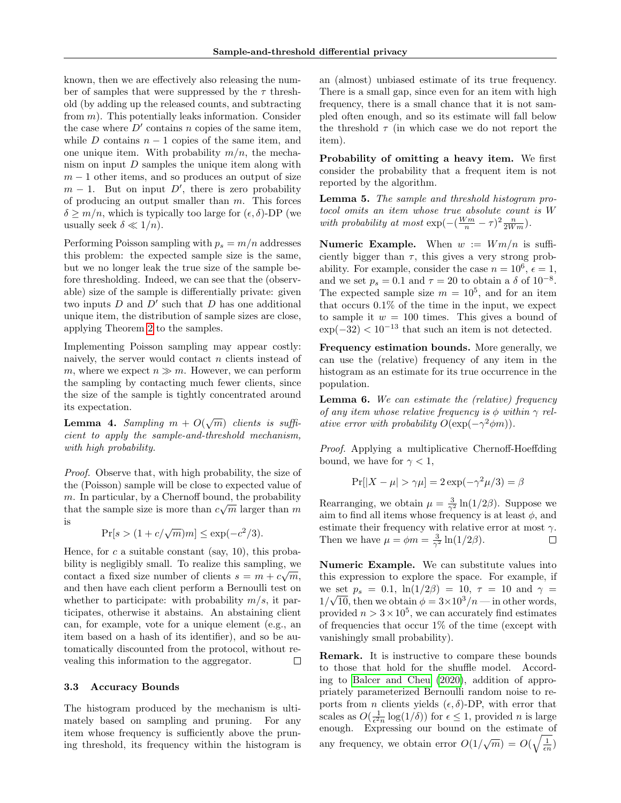known, then we are effectively also releasing the number of samples that were suppressed by the  $\tau$  threshold (by adding up the released counts, and subtracting from  $m$ ). This potentially leaks information. Consider the case where  $D'$  contains n copies of the same item, while D contains  $n - 1$  copies of the same item, and one unique item. With probability  $m/n$ , the mechanism on input  $D$  samples the unique item along with  $m-1$  other items, and so produces an output of size  $m - 1$ . But on input  $D'$ , there is zero probability of producing an output smaller than  $m$ . This forces  $\delta \geq m/n$ , which is typically too large for  $(\epsilon, \delta)$ -DP (we usually seek  $\delta \ll 1/n$ .

Performing Poisson sampling with  $p_s = m/n$  addresses this problem: the expected sample size is the same, but we no longer leak the true size of the sample before thresholding. Indeed, we can see that the (observable) size of the sample is differentially private: given two inputs  $D$  and  $D'$  such that  $D$  has one additional unique item, the distribution of sample sizes are close, applying Theorem [2](#page-2-2) to the samples.

Implementing Poisson sampling may appear costly: naively, the server would contact  $n$  clients instead of m, where we expect  $n \gg m$ . However, we can perform the sampling by contacting much fewer clients, since the size of the sample is tightly concentrated around its expectation.

**Lemma 4.** Sampling  $m + O(\sqrt{m})$  clients is sufficient to apply the sample-and-threshold mechanism, with high probability.

Proof. Observe that, with high probability, the size of the (Poisson) sample will be close to expected value of  $m$ . In particular, by a Chernoff bound, the probability that the sample size is more than  $c\sqrt{m}$  larger than m is

$$
\Pr[s > (1 + c/\sqrt{m})m] \le \exp(-c^2/3).
$$

Hence, for  $c$  a suitable constant (say, 10), this probability is negligibly small. To realize this sampling, we contact a fixed size number of clients  $s = m + c\sqrt{m}$ , and then have each client perform a Bernoulli test on whether to participate: with probability  $m/s$ , it participates, otherwise it abstains. An abstaining client can, for example, vote for a unique element (e.g., an item based on a hash of its identifier), and so be automatically discounted from the protocol, without revealing this information to the aggregator.  $\Box$ 

#### 3.3 Accuracy Bounds

The histogram produced by the mechanism is ultimately based on sampling and pruning. For any item whose frequency is sufficiently above the pruning threshold, its frequency within the histogram is an (almost) unbiased estimate of its true frequency. There is a small gap, since even for an item with high frequency, there is a small chance that it is not sampled often enough, and so its estimate will fall below the threshold  $\tau$  (in which case we do not report the item).

Probability of omitting a heavy item. We first consider the probability that a frequent item is not reported by the algorithm.

<span id="page-3-0"></span>Lemma 5. The sample and threshold histogram protocol omits an item whose true absolute count is W with probability at most  $\exp(-(\frac{Wm}{n}-\tau)^2 \frac{n}{2Wm})$ .

**Numeric Example.** When  $w := Wm/n$  is sufficiently bigger than  $\tau$ , this gives a very strong probability. For example, consider the case  $n = 10^6$ ,  $\epsilon = 1$ , and we set  $p_s = 0.1$  and  $\tau = 20$  to obtain a  $\delta$  of  $10^{-8}$ . The expected sample size  $m = 10^5$ , and for an item that occurs 0.1% of the time in the input, we expect to sample it  $w = 100$  times. This gives a bound of  $\exp(-32) < 10^{-13}$  that such an item is not detected.

Frequency estimation bounds. More generally, we can use the (relative) frequency of any item in the histogram as an estimate for its true occurrence in the population.

Lemma 6. We can estimate the (relative) frequency of any item whose relative frequency is  $\phi$  within  $\gamma$  relative error with probability  $O(\exp(-\gamma^2 \phi m)).$ 

Proof. Applying a multiplicative Chernoff-Hoeffding bound, we have for  $\gamma < 1$ ,

$$
Pr[|X - \mu| > \gamma \mu] = 2\exp(-\gamma^2 \mu/3) = \beta
$$

Rearranging, we obtain  $\mu = \frac{3}{\gamma^2} \ln(1/2\beta)$ . Suppose we aim to find all items whose frequency is at least  $\phi$ , and estimate their frequency with relative error at most  $\gamma.$ Then we have  $\mu = \phi m = \frac{3}{\gamma^2} \ln(1/2\beta)$ .  $\Box$ 

Numeric Example. We can substitute values into this expression to explore the space. For example, if we set  $p_s = 0.1$ ,  $\ln(1/2\beta) = 10$ ,  $\tau = 10$  and  $\gamma =$  $1/\sqrt{10}$ , then we obtain  $\phi = 3 \times 10^3/n$  — in other words, provided  $n > 3 \times 10^5$ , we can accurately find estimates of frequencies that occur 1% of the time (except with vanishingly small probability).

Remark. It is instructive to compare these bounds to those that hold for the shuffle model. According to [Balcer and Cheu \(2020\)](#page-9-6), addition of appropriately parameterized Bernoulli random noise to reports from *n* clients yields  $(\epsilon, \delta)$ -DP, with error that scales as  $O(\frac{1}{\epsilon^2 n} \log(1/\delta))$  for  $\epsilon \leq 1$ , provided *n* is large enough. Expressing our bound on the estimate of any frequency, we obtain error  $O(1/\sqrt{m}) = O(\sqrt{\frac{1}{\epsilon n}})$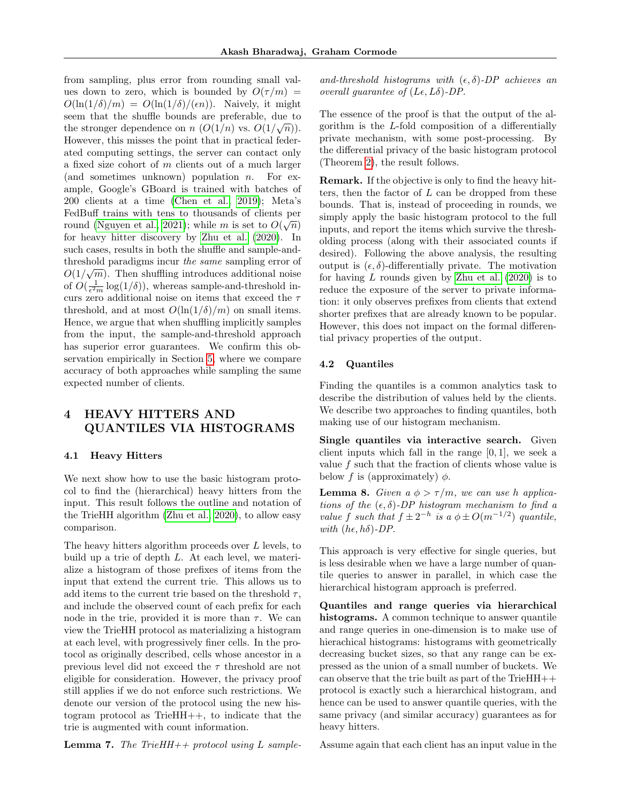from sampling, plus error from rounding small values down to zero, which is bounded by  $O(\tau/m)$  =  $O(\ln(1/\delta)/m) = O(\ln(1/\delta)/(\epsilon n))$ . Naively, it might seem that the shuffle bounds are preferable, due to the stronger dependence on n  $(O(1/n)$  vs.  $O(1/\sqrt{n}))$ . However, this misses the point that in practical federated computing settings, the server can contact only a fixed size cohort of m clients out of a much larger (and sometimes unknown) population  $n$ . For example, Google's GBoard is trained with batches of 200 clients at a time [\(Chen et al., 2019\)](#page-9-11); Meta's FedBuff trains with tens to thousands of clients per round [\(Nguyen et al., 2021\)](#page-10-7); while m is set to  $O(\sqrt{n})$ for heavy hitter discovery by [Zhu et al. \(2020\)](#page-10-2). In such cases, results in both the shuffle and sample-andthreshold paradigms incur the same sampling error of  $O(1/\sqrt{m})$ . Then shuffling introduces additional noise of  $O(\frac{1}{\epsilon^2 m} \log(1/\delta))$ , whereas sample-and-threshold incurs zero additional noise on items that exceed the  $\tau$ threshold, and at most  $O(\ln(1/\delta)/m)$  on small items. Hence, we argue that when shuffling implicitly samples from the input, the sample-and-threshold approach has superior error guarantees. We confirm this observation empirically in Section [5,](#page-5-0) where we compare accuracy of both approaches while sampling the same expected number of clients.

# 4 HEAVY HITTERS AND QUANTILES VIA HISTOGRAMS

### 4.1 Heavy Hitters

We next show how to use the basic histogram protocol to find the (hierarchical) heavy hitters from the input. This result follows the outline and notation of the TrieHH algorithm [\(Zhu et al., 2020\)](#page-10-2), to allow easy comparison.

The heavy hitters algorithm proceeds over L levels, to build up a trie of depth L. At each level, we materialize a histogram of those prefixes of items from the input that extend the current trie. This allows us to add items to the current trie based on the threshold  $\tau$ , and include the observed count of each prefix for each node in the trie, provided it is more than  $\tau$ . We can view the TrieHH protocol as materializing a histogram at each level, with progressively finer cells. In the protocol as originally described, cells whose ancestor in a previous level did not exceed the  $\tau$  threshold are not eligible for consideration. However, the privacy proof still applies if we do not enforce such restrictions. We denote our version of the protocol using the new histogram protocol as TrieHH++, to indicate that the trie is augmented with count information.

<span id="page-4-0"></span>**Lemma 7.** The TrieHH++ protocol using L sample-

and-threshold histograms with  $(\epsilon, \delta)$ -DP achieves an overall guarantee of  $(L\varepsilon, L\delta)$ -DP.

The essence of the proof is that the output of the algorithm is the L-fold composition of a differentially private mechanism, with some post-processing. By the differential privacy of the basic histogram protocol (Theorem [2\)](#page-2-2), the result follows.

Remark. If the objective is only to find the heavy hitters, then the factor of  $L$  can be dropped from these bounds. That is, instead of proceeding in rounds, we simply apply the basic histogram protocol to the full inputs, and report the items which survive the thresholding process (along with their associated counts if desired). Following the above analysis, the resulting output is  $(\epsilon, \delta)$ -differentially private. The motivation for having  $L$  rounds given by Zhu et al.  $(2020)$  is to reduce the exposure of the server to private information: it only observes prefixes from clients that extend shorter prefixes that are already known to be popular. However, this does not impact on the formal differential privacy properties of the output.

### 4.2 Quantiles

Finding the quantiles is a common analytics task to describe the distribution of values held by the clients. We describe two approaches to finding quantiles, both making use of our histogram mechanism.

Single quantiles via interactive search. Given client inputs which fall in the range  $[0, 1]$ , we seek a value f such that the fraction of clients whose value is below f is (approximately)  $\phi$ .

<span id="page-4-1"></span>**Lemma 8.** Given  $a \phi > \tau/m$ , we can use h applications of the  $(\epsilon, \delta)$ -DP histogram mechanism to find a value f such that  $f \pm 2^{-h}$  is a  $\phi \pm O(m^{-1/2})$  quantile, with  $(h\epsilon, h\delta)$ -DP.

This approach is very effective for single queries, but is less desirable when we have a large number of quantile queries to answer in parallel, in which case the hierarchical histogram approach is preferred.

Quantiles and range queries via hierarchical histograms. A common technique to answer quantile and range queries in one-dimension is to make use of hierachical histograms: histograms with geometrically decreasing bucket sizes, so that any range can be expressed as the union of a small number of buckets. We can observe that the trie built as part of the TrieHH++ protocol is exactly such a hierarchical histogram, and hence can be used to answer quantile queries, with the same privacy (and similar accuracy) guarantees as for heavy hitters.

Assume again that each client has an input value in the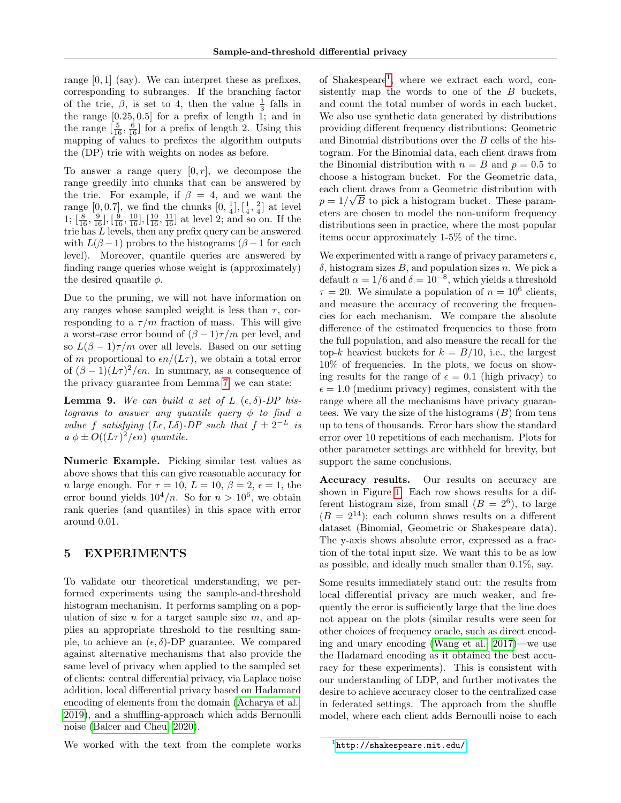range [0, 1] (say). We can interpret these as prefixes, corresponding to subranges. If the branching factor of the trie,  $\beta$ , is set to 4, then the value  $\frac{1}{3}$  falls in the range  $[0.25, 0.5]$  for a prefix of length 1; and in the range  $\left[\frac{5}{16}, \frac{6}{16}\right]$  for a prefix of length 2. Using this mapping of values to prefixes the algorithm outputs the (DP) trie with weights on nodes as before.

To answer a range query  $[0, r]$ , we decompose the range greedily into chunks that can be answered by the trie. For example, if  $\beta = 4$ , and we want the range  $[0, 0.7]$ , we find the chunks  $[0, \frac{1}{4}], [\frac{1}{4}, \frac{2}{4}]$  at level 1;  $\left[\frac{8}{16}, \frac{9}{16}\right], \left[\frac{9}{16}, \frac{10}{16}\right], \left[\frac{10}{16}, \frac{11}{16}\right]$  at level 2; and so on. If the trie has  $L$  levels, then any prefix query can be answered with  $L(\beta-1)$  probes to the histograms ( $\beta-1$  for each level). Moreover, quantile queries are answered by finding range queries whose weight is (approximately) the desired quantile  $\phi$ .

Due to the pruning, we will not have information on any ranges whose sampled weight is less than  $\tau$ , corresponding to a  $\tau/m$  fraction of mass. This will give a worst-case error bound of  $(\beta - 1)\tau/m$  per level, and so  $L(\beta - 1)\tau/m$  over all levels. Based on our setting of m proportional to  $\epsilon n/(L\tau)$ , we obtain a total error of  $(\beta - 1)(L\tau)^2 / \epsilon n$ . In summary, as a consequence of the privacy guarantee from Lemma [7,](#page-4-0) we can state:

**Lemma 9.** We can build a set of L  $(\epsilon, \delta)$ -DP histograms to answer any quantile query  $\phi$  to find a value f satisfying  $(L\epsilon, L\delta)$ -DP such that  $f \pm 2^{-L}$  is  $a \phi \pm O((L\tau)^2/\epsilon n)$  quantile.

Numeric Example. Picking similar test values as above shows that this can give reasonable accuracy for *n* large enough. For  $\tau = 10$ ,  $L = 10$ ,  $\beta = 2$ ,  $\epsilon = 1$ , the error bound yields  $10^4/n$ . So for  $n > 10^6$ , we obtain rank queries (and quantiles) in this space with error around 0.01.

## <span id="page-5-0"></span>5 EXPERIMENTS

To validate our theoretical understanding, we performed experiments using the sample-and-threshold histogram mechanism. It performs sampling on a population of size  $n$  for a target sample size  $m$ , and applies an appropriate threshold to the resulting sample, to achieve an  $(\epsilon, \delta)$ -DP guarantee. We compared against alternative mechanisms that also provide the same level of privacy when applied to the sampled set of clients: central differential privacy, via Laplace noise addition, local differential privacy based on Hadamard encoding of elements from the domain [\(Acharya et al.,](#page-9-4) [2019\)](#page-9-4), and a shuffling-approach which adds Bernoulli noise [\(Balcer and Cheu, 2020\)](#page-9-6).

We worked with the text from the complete works

of Shakespeare<sup>[1](#page-5-1)</sup>, where we extract each word, consistently map the words to one of the B buckets, and count the total number of words in each bucket. We also use synthetic data generated by distributions providing different frequency distributions: Geometric and Binomial distributions over the B cells of the histogram. For the Binomial data, each client draws from the Binomial distribution with  $n = B$  and  $p = 0.5$  to choose a histogram bucket. For the Geometric data, each client draws from a Geometric distribution with  $p = 1/\sqrt{B}$  to pick a histogram bucket. These parameters are chosen to model the non-uniform frequency distributions seen in practice, where the most popular items occur approximately 1-5% of the time.

We experimented with a range of privacy parameters  $\epsilon$ ,  $\delta$ , histogram sizes B, and population sizes n. We pick a default  $\alpha = 1/6$  and  $\delta = 10^{-8}$ , which yields a threshold  $\tau = 20$ . We simulate a population of  $n = 10^6$  clients, and measure the accuracy of recovering the frequencies for each mechanism. We compare the absolute difference of the estimated frequencies to those from the full population, and also measure the recall for the top-k heaviest buckets for  $k = B/10$ , i.e., the largest 10% of frequencies. In the plots, we focus on showing results for the range of  $\epsilon = 0.1$  (high privacy) to  $\epsilon = 1.0$  (medium privacy) regimes, consistent with the range where all the mechanisms have privacy guarantees. We vary the size of the histograms  $(B)$  from tens up to tens of thousands. Error bars show the standard error over 10 repetitions of each mechanism. Plots for other parameter settings are withheld for brevity, but support the same conclusions.

Accuracy results. Our results on accuracy are shown in Figure [1.](#page-6-0) Each row shows results for a different histogram size, from small  $(B = 2^6)$ , to large  $(B = 2^{14})$ ; each column shows results on a different dataset (Binomial, Geometric or Shakespeare data). The y-axis shows absolute error, expressed as a fraction of the total input size. We want this to be as low as possible, and ideally much smaller than 0.1%, say.

Some results immediately stand out: the results from local differential privacy are much weaker, and frequently the error is sufficiently large that the line does not appear on the plots (similar results were seen for other choices of frequency oracle, such as direct encoding and unary encoding [\(Wang et al., 2017\)](#page-10-1)—we use the Hadamard encoding as it obtained the best accuracy for these experiments). This is consistent with our understanding of LDP, and further motivates the desire to achieve accuracy closer to the centralized case in federated settings. The approach from the shuffle model, where each client adds Bernoulli noise to each

<span id="page-5-1"></span> $\frac{1}{1}$ <http://shakespeare.mit.edu/>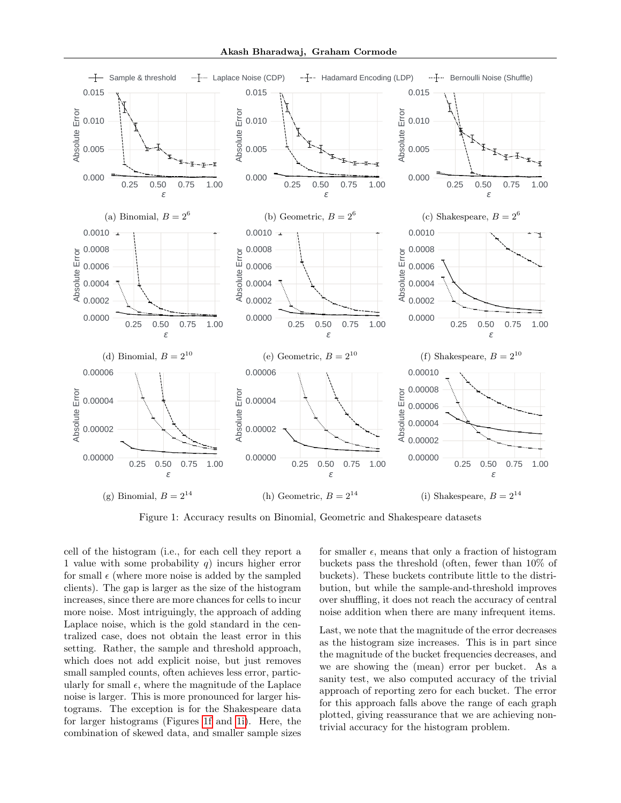<span id="page-6-0"></span>

Figure 1: Accuracy results on Binomial, Geometric and Shakespeare datasets

cell of the histogram (i.e., for each cell they report a 1 value with some probability  $q$ ) incurs higher error for small  $\epsilon$  (where more noise is added by the sampled clients). The gap is larger as the size of the histogram increases, since there are more chances for cells to incur more noise. Most intriguingly, the approach of adding Laplace noise, which is the gold standard in the centralized case, does not obtain the least error in this setting. Rather, the sample and threshold approach, which does not add explicit noise, but just removes small sampled counts, often achieves less error, particularly for small  $\epsilon$ , where the magnitude of the Laplace noise is larger. This is more pronounced for larger histograms. The exception is for the Shakespeare data for larger histograms (Figures [1f](#page-6-0) and [1i\)](#page-6-0). Here, the combination of skewed data, and smaller sample sizes for smaller  $\epsilon$ , means that only a fraction of histogram buckets pass the threshold (often, fewer than 10% of buckets). These buckets contribute little to the distribution, but while the sample-and-threshold improves over shuffling, it does not reach the accuracy of central noise addition when there are many infrequent items.

Last, we note that the magnitude of the error decreases as the histogram size increases. This is in part since the magnitude of the bucket frequencies decreases, and we are showing the (mean) error per bucket. As a sanity test, we also computed accuracy of the trivial approach of reporting zero for each bucket. The error for this approach falls above the range of each graph plotted, giving reassurance that we are achieving nontrivial accuracy for the histogram problem.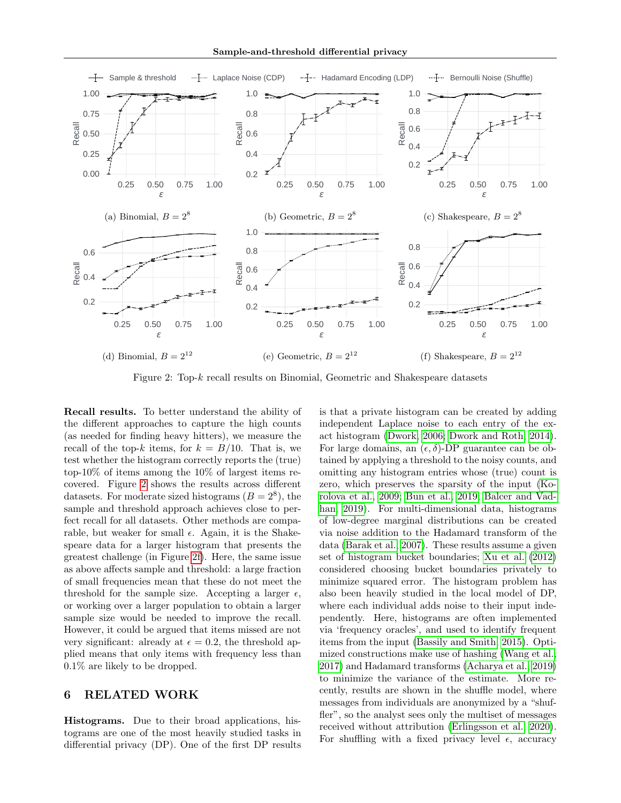<span id="page-7-0"></span>

Figure 2: Top-k recall results on Binomial, Geometric and Shakespeare datasets

Recall results. To better understand the ability of the different approaches to capture the high counts (as needed for finding heavy hitters), we measure the recall of the top-k items, for  $k = B/10$ . That is, we test whether the histogram correctly reports the (true) top-10% of items among the 10% of largest items recovered. Figure [2](#page-7-0) shows the results across different datasets. For moderate sized histograms  $(B = 2^8)$ , the sample and threshold approach achieves close to perfect recall for all datasets. Other methods are comparable, but weaker for small  $\epsilon$ . Again, it is the Shakespeare data for a larger histogram that presents the greatest challenge (in Figure [2f\)](#page-7-0). Here, the same issue as above affects sample and threshold: a large fraction of small frequencies mean that these do not meet the threshold for the sample size. Accepting a larger  $\epsilon$ , or working over a larger population to obtain a larger sample size would be needed to improve the recall. However, it could be argued that items missed are not very significant: already at  $\epsilon = 0.2$ , the threshold applied means that only items with frequency less than 0.1% are likely to be dropped.

## 6 RELATED WORK

Histograms. Due to their broad applications, histograms are one of the most heavily studied tasks in differential privacy (DP). One of the first DP results is that a private histogram can be created by adding independent Laplace noise to each entry of the exact histogram [\(Dwork, 2006;](#page-9-1) [Dwork and Roth, 2014\)](#page-9-2). For large domains, an  $(\epsilon, \delta)$ -DP guarantee can be obtained by applying a threshold to the noisy counts, and omitting any histogram entries whose (true) count is zero, which preserves the sparsity of the input [\(Ko](#page-9-12)[rolova et al., 2009;](#page-9-12) [Bun et al., 2019;](#page-9-13) [Balcer and Vad](#page-9-14)[han, 2019\)](#page-9-14). For multi-dimensional data, histograms of low-degree marginal distributions can be created via noise addition to the Hadamard transform of the data [\(Barak et al., 2007\)](#page-9-15). These results assume a given set of histogram bucket boundaries; [Xu et al. \(2012\)](#page-10-0) considered choosing bucket boundaries privately to minimize squared error. The histogram problem has also been heavily studied in the local model of DP, where each individual adds noise to their input independently. Here, histograms are often implemented via 'frequency oracles', and used to identify frequent items from the input [\(Bassily and Smith, 2015\)](#page-9-3). Optimized constructions make use of hashing [\(Wang et al.,](#page-10-1) [2017\)](#page-10-1) and Hadamard transforms [\(Acharya et al., 2019\)](#page-9-4) to minimize the variance of the estimate. More recently, results are shown in the shuffle model, where messages from individuals are anonymized by a "shuffler", so the analyst sees only the multiset of messages received without attribution [\(Erlingsson et al., 2020\)](#page-9-5). For shuffling with a fixed privacy level  $\epsilon$ , accuracy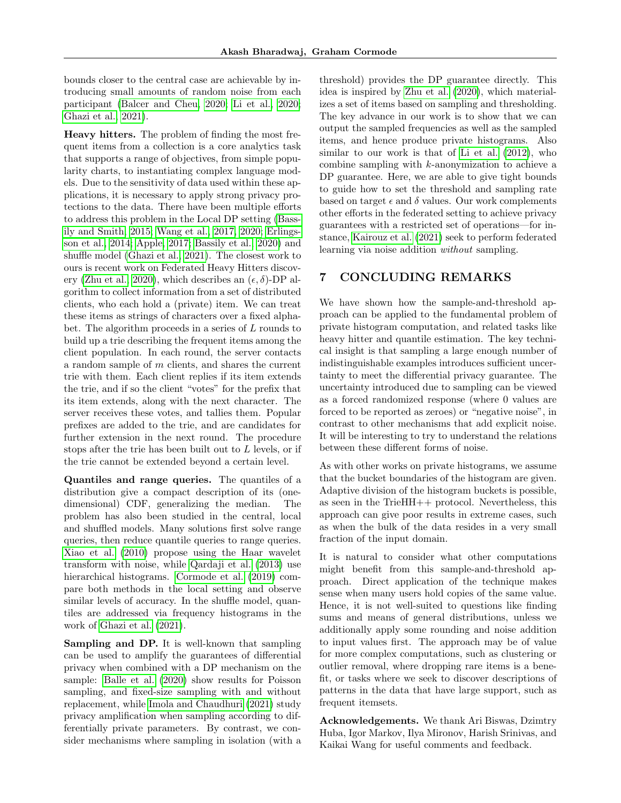bounds closer to the central case are achievable by introducing small amounts of random noise from each participant [\(Balcer and Cheu, 2020;](#page-9-6) [Li et al., 2020;](#page-9-7) [Ghazi et al., 2021\)](#page-9-16).

Heavy hitters. The problem of finding the most frequent items from a collection is a core analytics task that supports a range of objectives, from simple popularity charts, to instantiating complex language models. Due to the sensitivity of data used within these applications, it is necessary to apply strong privacy protections to the data. There have been multiple efforts to address this problem in the Local DP setting [\(Bass](#page-9-3)[ily and Smith, 2015;](#page-9-3) [Wang et al., 2017,](#page-10-1) [2020;](#page-10-8) [Erlings](#page-9-17)[son et al., 2014;](#page-9-17) [Apple, 2017;](#page-9-18) [Bassily et al., 2020\)](#page-9-19) and shuffle model [\(Ghazi et al., 2021\)](#page-9-16). The closest work to ours is recent work on Federated Heavy Hitters discov-ery [\(Zhu et al., 2020\)](#page-10-2), which describes an  $(\epsilon, \delta)$ -DP algorithm to collect information from a set of distributed clients, who each hold a (private) item. We can treat these items as strings of characters over a fixed alphabet. The algorithm proceeds in a series of L rounds to build up a trie describing the frequent items among the client population. In each round, the server contacts a random sample of m clients, and shares the current trie with them. Each client replies if its item extends the trie, and if so the client "votes" for the prefix that its item extends, along with the next character. The server receives these votes, and tallies them. Popular prefixes are added to the trie, and are candidates for further extension in the next round. The procedure stops after the trie has been built out to  $L$  levels, or if the trie cannot be extended beyond a certain level.

Quantiles and range queries. The quantiles of a distribution give a compact description of its (onedimensional) CDF, generalizing the median. The problem has also been studied in the central, local and shuffled models. Many solutions first solve range queries, then reduce quantile queries to range queries. [Xiao et al. \(2010\)](#page-10-9) propose using the Haar wavelet transform with noise, while [Qardaji et al. \(2013\)](#page-10-10) use hierarchical histograms. [Cormode et al. \(2019\)](#page-9-20) compare both methods in the local setting and observe similar levels of accuracy. In the shuffle model, quantiles are addressed via frequency histograms in the work of [Ghazi et al. \(2021\)](#page-9-16).

Sampling and DP. It is well-known that sampling can be used to amplify the guarantees of differential privacy when combined with a DP mechanism on the sample: [Balle et al. \(2020\)](#page-9-21) show results for Poisson sampling, and fixed-size sampling with and without replacement, while [Imola and Chaudhuri \(2021\)](#page-9-22) study privacy amplification when sampling according to differentially private parameters. By contrast, we consider mechanisms where sampling in isolation (with a threshold) provides the DP guarantee directly. This idea is inspired by [Zhu et al. \(2020\)](#page-10-2), which materializes a set of items based on sampling and thresholding. The key advance in our work is to show that we can output the sampled frequencies as well as the sampled items, and hence produce private histograms. Also similar to our work is that of [Li et al. \(2012\)](#page-9-23), who combine sampling with k-anonymization to achieve a DP guarantee. Here, we are able to give tight bounds to guide how to set the threshold and sampling rate based on target  $\epsilon$  and  $\delta$  values. Our work complements other efforts in the federated setting to achieve privacy guarantees with a restricted set of operations—for instance, [Kairouz et al. \(2021\)](#page-9-24) seek to perform federated learning via noise addition without sampling.

## 7 CONCLUDING REMARKS

We have shown how the sample-and-threshold approach can be applied to the fundamental problem of private histogram computation, and related tasks like heavy hitter and quantile estimation. The key technical insight is that sampling a large enough number of indistinguishable examples introduces sufficient uncertainty to meet the differential privacy guarantee. The uncertainty introduced due to sampling can be viewed as a forced randomized response (where 0 values are forced to be reported as zeroes) or "negative noise", in contrast to other mechanisms that add explicit noise. It will be interesting to try to understand the relations between these different forms of noise.

As with other works on private histograms, we assume that the bucket boundaries of the histogram are given. Adaptive division of the histogram buckets is possible, as seen in the TrieHH++ protocol. Nevertheless, this approach can give poor results in extreme cases, such as when the bulk of the data resides in a very small fraction of the input domain.

It is natural to consider what other computations might benefit from this sample-and-threshold approach. Direct application of the technique makes sense when many users hold copies of the same value. Hence, it is not well-suited to questions like finding sums and means of general distributions, unless we additionally apply some rounding and noise addition to input values first. The approach may be of value for more complex computations, such as clustering or outlier removal, where dropping rare items is a benefit, or tasks where we seek to discover descriptions of patterns in the data that have large support, such as frequent itemsets.

Acknowledgements. We thank Ari Biswas, Dzimtry Huba, Igor Markov, Ilya Mironov, Harish Srinivas, and Kaikai Wang for useful comments and feedback.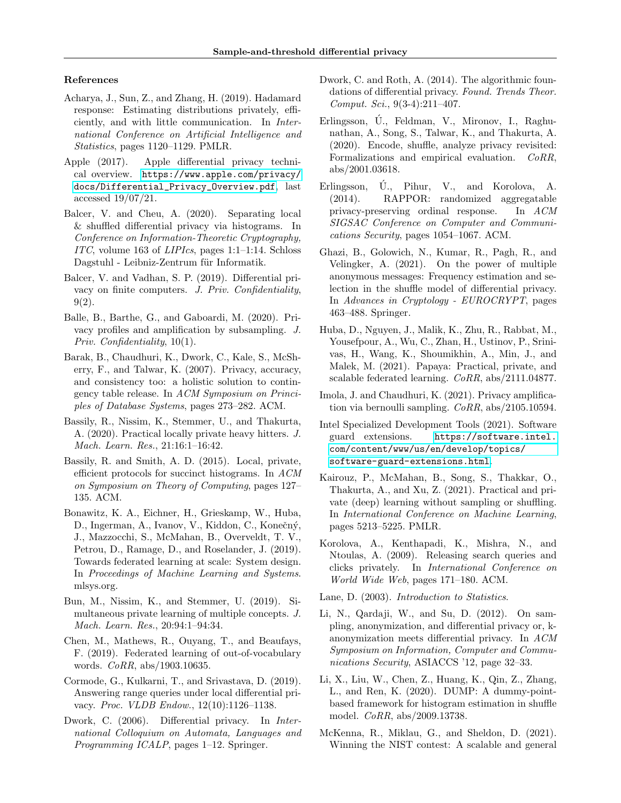#### References

- <span id="page-9-4"></span>Acharya, J., Sun, Z., and Zhang, H. (2019). Hadamard response: Estimating distributions privately, efficiently, and with little communication. In International Conference on Artificial Intelligence and Statistics, pages 1120–1129. PMLR.
- <span id="page-9-18"></span>Apple (2017). Apple differential privacy technical overview. [https://www.apple.com/privacy/](https://www.apple.com/privacy/docs/Differential_Privacy_Overview.pdf) [docs/Differential\\_Privacy\\_Overview.pdf](https://www.apple.com/privacy/docs/Differential_Privacy_Overview.pdf), last accessed 19/07/21.
- <span id="page-9-6"></span>Balcer, V. and Cheu, A. (2020). Separating local & shuffled differential privacy via histograms. In Conference on Information-Theoretic Cryptography, ITC, volume 163 of *LIPIcs*, pages 1:1-1:14. Schloss Dagstuhl - Leibniz-Zentrum für Informatik.
- <span id="page-9-14"></span>Balcer, V. and Vadhan, S. P. (2019). Differential privacy on finite computers. J. Priv. Confidentiality, 9(2).
- <span id="page-9-21"></span>Balle, B., Barthe, G., and Gaboardi, M. (2020). Privacy profiles and amplification by subsampling. J. Priv. Confidentiality, 10(1).
- <span id="page-9-15"></span>Barak, B., Chaudhuri, K., Dwork, C., Kale, S., McSherry, F., and Talwar, K. (2007). Privacy, accuracy, and consistency too: a holistic solution to contingency table release. In ACM Symposium on Principles of Database Systems, pages 273–282. ACM.
- <span id="page-9-19"></span>Bassily, R., Nissim, K., Stemmer, U., and Thakurta, A. (2020). Practical locally private heavy hitters. J. Mach. Learn. Res., 21:16:1–16:42.
- <span id="page-9-3"></span>Bassily, R. and Smith, A. D. (2015). Local, private, efficient protocols for succinct histograms. In ACM on Symposium on Theory of Computing, pages 127– 135. ACM.
- <span id="page-9-8"></span>Bonawitz, K. A., Eichner, H., Grieskamp, W., Huba, D., Ingerman, A., Ivanov, V., Kiddon, C., Konečný, J., Mazzocchi, S., McMahan, B., Overveldt, T. V., Petrou, D., Ramage, D., and Roselander, J. (2019). Towards federated learning at scale: System design. In Proceedings of Machine Learning and Systems. mlsys.org.
- <span id="page-9-13"></span>Bun, M., Nissim, K., and Stemmer, U. (2019). Simultaneous private learning of multiple concepts. J. Mach. Learn. Res., 20:94:1–94:34.
- <span id="page-9-11"></span>Chen, M., Mathews, R., Ouyang, T., and Beaufays, F. (2019). Federated learning of out-of-vocabulary words. CoRR, abs/1903.10635.
- <span id="page-9-20"></span>Cormode, G., Kulkarni, T., and Srivastava, D. (2019). Answering range queries under local differential privacy. Proc. VLDB Endow., 12(10):1126–1138.
- <span id="page-9-1"></span>Dwork, C. (2006). Differential privacy. In International Colloquium on Automata, Languages and Programming ICALP, pages 1–12. Springer.
- <span id="page-9-2"></span>Dwork, C. and Roth, A. (2014). The algorithmic foundations of differential privacy. Found. Trends Theor. Comput. Sci., 9(3-4):211–407.
- <span id="page-9-5"></span>Erlingsson, Ú., Feldman, V., Mironov, I., Raghunathan, A., Song, S., Talwar, K., and Thakurta, A. (2020). Encode, shuffle, analyze privacy revisited: Formalizations and empirical evaluation. CoRR, abs/2001.03618.
- <span id="page-9-17"></span>Erlingsson, U., Pihur, V., and Korolova, A. ´ (2014). RAPPOR: randomized aggregatable privacy-preserving ordinal response. In ACM SIGSAC Conference on Computer and Communications Security, pages 1054–1067. ACM.
- <span id="page-9-16"></span>Ghazi, B., Golowich, N., Kumar, R., Pagh, R., and Velingker, A. (2021). On the power of multiple anonymous messages: Frequency estimation and selection in the shuffle model of differential privacy. In Advances in Cryptology - EUROCRYPT, pages 463–488. Springer.
- <span id="page-9-9"></span>Huba, D., Nguyen, J., Malik, K., Zhu, R., Rabbat, M., Yousefpour, A., Wu, C., Zhan, H., Ustinov, P., Srinivas, H., Wang, K., Shoumikhin, A., Min, J., and Malek, M. (2021). Papaya: Practical, private, and scalable federated learning. CoRR, abs/2111.04877.
- <span id="page-9-22"></span>Imola, J. and Chaudhuri, K. (2021). Privacy amplification via bernoulli sampling. CoRR, abs/2105.10594.
- <span id="page-9-10"></span>Intel Specialized Development Tools (2021). Software guard extensions. [https://software.intel.](https://software.intel.com/content/www/us/en/develop/topics/software-guard-extensions.html) [com/content/www/us/en/develop/topics/](https://software.intel.com/content/www/us/en/develop/topics/software-guard-extensions.html) [software-guard-extensions.html](https://software.intel.com/content/www/us/en/develop/topics/software-guard-extensions.html).
- <span id="page-9-24"></span>Kairouz, P., McMahan, B., Song, S., Thakkar, O., Thakurta, A., and Xu, Z. (2021). Practical and private (deep) learning without sampling or shuffling. In International Conference on Machine Learning, pages 5213–5225. PMLR.
- <span id="page-9-12"></span>Korolova, A., Kenthapadi, K., Mishra, N., and Ntoulas, A. (2009). Releasing search queries and clicks privately. In International Conference on World Wide Web, pages 171–180. ACM.

<span id="page-9-25"></span>Lane, D. (2003). Introduction to Statistics.

- <span id="page-9-23"></span>Li, N., Qardaji, W., and Su, D. (2012). On sampling, anonymization, and differential privacy or, kanonymization meets differential privacy. In ACM Symposium on Information, Computer and Communications Security, ASIACCS '12, page 32–33.
- <span id="page-9-7"></span>Li, X., Liu, W., Chen, Z., Huang, K., Qin, Z., Zhang, L., and Ren, K. (2020). DUMP: A dummy-pointbased framework for histogram estimation in shuffle model. CoRR, abs/2009.13738.
- <span id="page-9-0"></span>McKenna, R., Miklau, G., and Sheldon, D. (2021). Winning the NIST contest: A scalable and general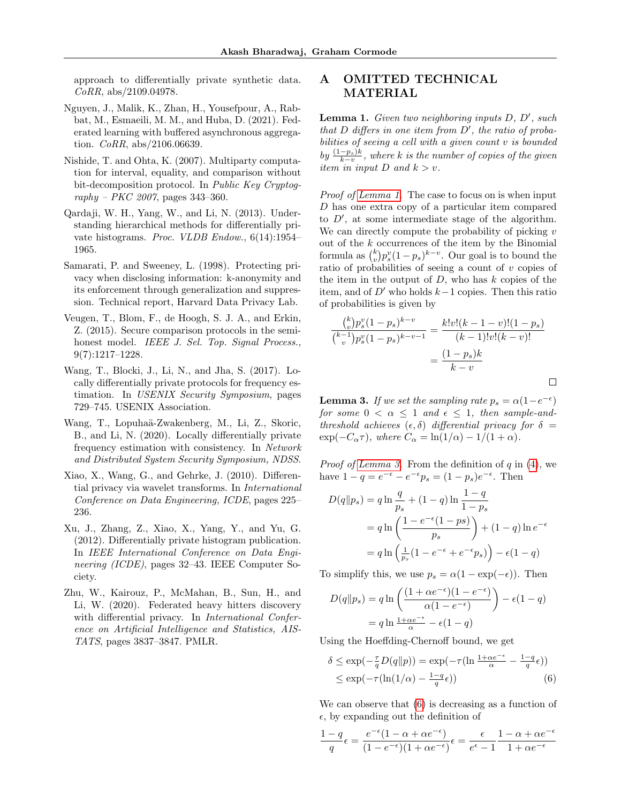approach to differentially private synthetic data. CoRR, abs/2109.04978.

- <span id="page-10-7"></span>Nguyen, J., Malik, K., Zhan, H., Yousefpour, A., Rabbat, M., Esmaeili, M. M., and Huba, D. (2021). Federated learning with buffered asynchronous aggregation. CoRR, abs/2106.06639.
- <span id="page-10-3"></span>Nishide, T. and Ohta, K. (2007). Multiparty computation for interval, equality, and comparison without bit-decomposition protocol. In Public Key Cryptog $raphy - PKC 2007$ , pages 343-360.
- <span id="page-10-10"></span>Qardaji, W. H., Yang, W., and Li, N. (2013). Understanding hierarchical methods for differentially private histograms. Proc. VLDB Endow., 6(14):1954– 1965.
- <span id="page-10-5"></span>Samarati, P. and Sweeney, L. (1998). Protecting privacy when disclosing information: k-anonymity and its enforcement through generalization and suppression. Technical report, Harvard Data Privacy Lab.
- <span id="page-10-4"></span>Veugen, T., Blom, F., de Hoogh, S. J. A., and Erkin, Z. (2015). Secure comparison protocols in the semihonest model. IEEE J. Sel. Top. Signal Process., 9(7):1217–1228.
- <span id="page-10-1"></span>Wang, T., Blocki, J., Li, N., and Jha, S. (2017). Locally differentially private protocols for frequency estimation. In USENIX Security Symposium, pages 729–745. USENIX Association.
- <span id="page-10-8"></span>Wang, T., Lopuhaä-Zwakenberg, M., Li, Z., Skoric, B., and Li, N. (2020). Locally differentially private frequency estimation with consistency. In Network and Distributed System Security Symposium, NDSS.
- <span id="page-10-9"></span>Xiao, X., Wang, G., and Gehrke, J. (2010). Differential privacy via wavelet transforms. In International Conference on Data Engineering, ICDE, pages 225– 236.
- <span id="page-10-0"></span>Xu, J., Zhang, Z., Xiao, X., Yang, Y., and Yu, G. (2012). Differentially private histogram publication. In IEEE International Conference on Data Engineering (ICDE), pages 32–43. IEEE Computer Society.
- <span id="page-10-2"></span>Zhu, W., Kairouz, P., McMahan, B., Sun, H., and Li, W. (2020). Federated heavy hitters discovery with differential privacy. In International Conference on Artificial Intelligence and Statistics, AIS-TATS, pages 3837–3847. PMLR.

## <span id="page-10-6"></span>A OMITTED TECHNICAL MATERIAL

**Lemma 1.** Given two neighboring inputs  $D, D'$ , such that  $D$  differs in one item from  $D'$ , the ratio of probabilities of seeing a cell with a given count v is bounded by  $\frac{(1-p_s)k}{k-v}$ , where k is the number of copies of the given item in input  $D$  and  $k > v$ .

Proof of [Lemma 1.](#page-2-3) The case to focus on is when input D has one extra copy of a particular item compared to  $D'$ , at some intermediate stage of the algorithm. We can directly compute the probability of picking  $v$ out of the k occurrences of the item by the Binomial formula as  $\binom{k}{v} p_s^v (1-p_s)^{k-v}$ . Our goal is to bound the ratio of probabilities of seeing a count of  $v$  copies of the item in the output of  $D$ , who has  $k$  copies of the item, and of  $D'$  who holds  $k-1$  copies. Then this ratio of probabilities is given by

$$
\frac{\binom{k}{v}p_s^v(1-p_s)^{k-v}}{\binom{k-1}{v}p_s^v(1-p_s)^{k-v-1}} = \frac{k!v!(k-1-v)!(1-p_s)}{(k-1)!v!(k-v)!}
$$

$$
= \frac{(1-p_s)k}{k-v}
$$

**Lemma 3.** If we set the sampling rate  $p_s = \alpha(1 - e^{-\epsilon})$ for some  $0 < \alpha \leq 1$  and  $\epsilon \leq 1$ , then sample-andthreshold achieves  $(\epsilon, \delta)$  differential privacy for  $\delta =$  $\exp(-C_{\alpha}\tau)$ , where  $C_{\alpha} = \ln(1/\alpha) - 1/(1+\alpha)$ .

*Proof of [Lemma 3.](#page-2-4)* From the definition of  $q$  in [\(4\)](#page-2-5), we have  $1 - q = e^{-\epsilon} - e^{-\epsilon} p_s = (1 - p_s)e^{-\epsilon}$ . Then

$$
D(q||p_s) = q \ln \frac{q}{p_s} + (1-q) \ln \frac{1-q}{1-p_s}
$$
  
=  $q \ln \left( \frac{1 - e^{-\epsilon}(1-ps)}{p_s} \right) + (1-q) \ln e^{-\epsilon}$   
=  $q \ln \left( \frac{1}{p_s} (1 - e^{-\epsilon} + e^{-\epsilon} p_s) \right) - \epsilon (1-q)$ 

To simplify this, we use  $p_s = \alpha(1 - \exp(-\epsilon))$ . Then

$$
D(q||p_s) = q \ln \left( \frac{(1 + \alpha e^{-\epsilon})(1 - e^{-\epsilon})}{\alpha(1 - e^{-\epsilon})} \right) - \epsilon (1 - q)
$$

$$
= q \ln \frac{1 + \alpha e^{-\epsilon}}{\alpha} - \epsilon (1 - q)
$$

Using the Hoeffding-Chernoff bound, we get

<span id="page-10-11"></span>
$$
\delta \le \exp(-\frac{\tau}{q}D(q||p)) = \exp(-\tau(\ln \frac{1+\alpha e^{-\epsilon}}{\alpha} - \frac{1-q}{q}\epsilon))
$$
  

$$
\le \exp(-\tau(\ln(1/\alpha) - \frac{1-q}{q}\epsilon))
$$
 (6)

We can observe that [\(6\)](#page-10-11) is decreasing as a function of  $\epsilon$ , by expanding out the definition of

$$
\frac{1-q}{q}\epsilon = \frac{e^{-\epsilon}(1-\alpha+\alpha e^{-\epsilon})}{(1-e^{-\epsilon})(1+\alpha e^{-\epsilon})}\epsilon = \frac{\epsilon}{e^{\epsilon}-1}\frac{1-\alpha+\alpha e^{-\epsilon}}{1+\alpha e^{-\epsilon}}
$$